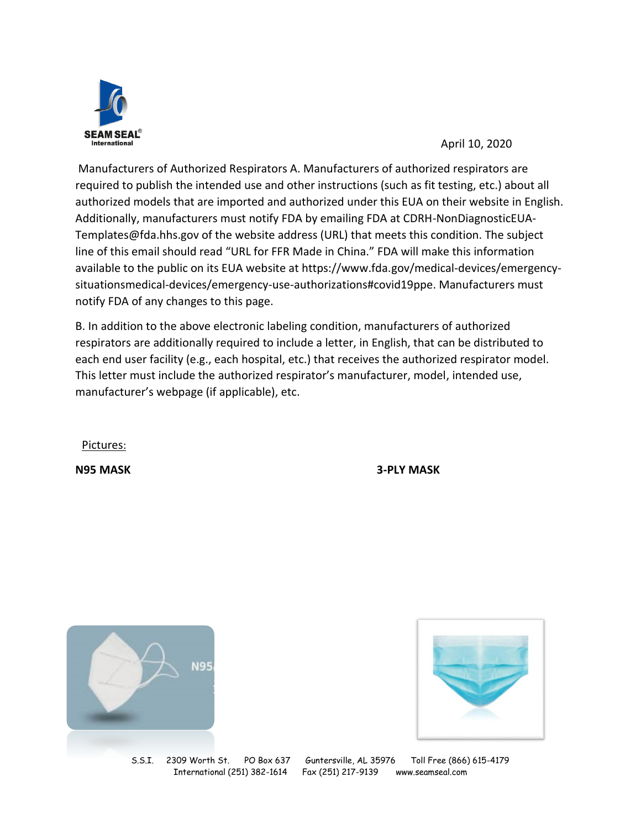

April 10, 2020

Manufacturers of Authorized Respirators A. Manufacturers of authorized respirators are required to publish the intended use and other instructions (such as fit testing, etc.) about all authorized models that are imported and authorized under this EUA on their website in English. Additionally, manufacturers must notify FDA by emailing FDA at CDRH-NonDiagnosticEUA-Templates@fda.hhs.gov of the website address (URL) that meets this condition. The subject line of this email should read "URL for FFR Made in China." FDA will make this information available to the public on its EUA website at https://www.fda.gov/medical-devices/emergencysituationsmedical-devices/emergency-use-authorizations#covid19ppe. Manufacturers must notify FDA of any changes to this page.

B. In addition to the above electronic labeling condition, manufacturers of authorized respirators are additionally required to include a letter, in English, that can be distributed to each end user facility (e.g., each hospital, etc.) that receives the authorized respirator model. This letter must include the authorized respirator's manufacturer, model, intended use, manufacturer's webpage (if applicable), etc.

Pictures:

**N95 MASK 3-PLY MASK**





S.S.I. 2309 Worth St. PO Box 637 Guntersville, AL 35976 Toll Free (866) 615-4179 International (251) 382-1614 Fax (251) 217-9139 www.seamseal.com